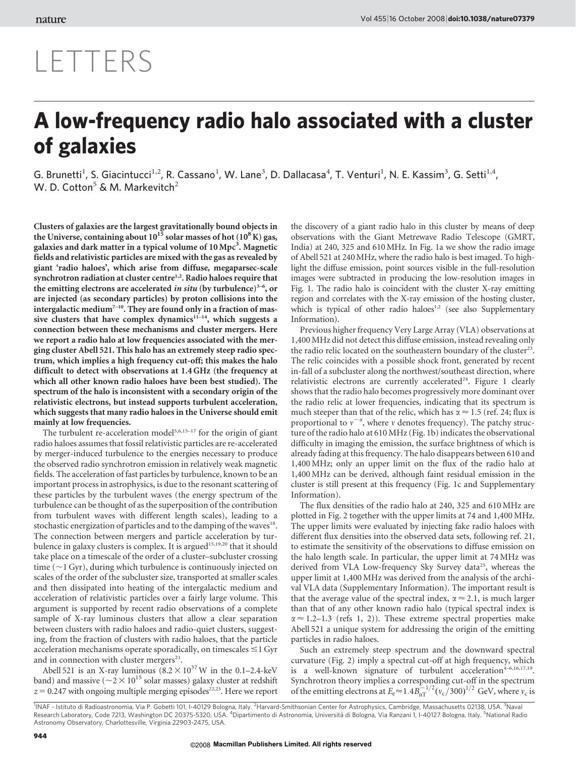## LETTERS

## A low-frequency radio halo associated with a cluster of galaxies

G. Brunetti<sup>1</sup>, S. Giacintucci<sup>1,2</sup>, R. Cassano<sup>1</sup>, W. Lane<sup>3</sup>, D. Dallacasa<sup>4</sup>, T. Venturi<sup>1</sup>, N. E. Kassim<sup>3</sup>, G. Setti<sup>1,4</sup>, W. D. Cotton<sup>5</sup> & M. Markevitch<sup>2</sup>

Clusters of galaxies are the largest gravitationally bound objects in the Universe, containing about  $10^{15}$  solar masses of hot  $(10^8\,\rm K)$  gas, galaxies and dark matter in a typical volume of 10 Mpc<sup>3</sup>. Magnetic fields and relativistic particles are mixed with the gas as revealed by giant 'radio haloes', which arise from diffuse, megaparsec-scale synchrotron radiation at cluster centre<sup>1,2</sup>. Radio haloes require that the emitting electrons are accelerated in situ (by turbulence) $3-6$ , or are injected (as secondary particles) by proton collisions into the intergalactic medium<sup>7-10</sup>. They are found only in a fraction of massive clusters that have complex dynamics<sup>11-14</sup>, which suggests a connection between these mechanisms and cluster mergers. Here we report a radio halo at low frequencies associated with the merging cluster Abell 521. This halo has an extremely steep radio spectrum, which implies a high frequency cut-off; this makes the halo difficult to detect with observations at 1.4 GHz (the frequency at which all other known radio haloes have been best studied). The spectrum of the halo is inconsistent with a secondary origin of the relativistic electrons, but instead supports turbulent acceleration, which suggests that many radio haloes in the Universe should emit mainly at low frequencies.

The turbulent re-acceleration model<sup>5,6,15–17</sup> for the origin of giant radio haloes assumes that fossil relativistic particles are re-accelerated by merger-induced turbulence to the energies necessary to produce the observed radio synchrotron emission in relatively weak magnetic fields. The acceleration of fast particles by turbulence, known to be an important process in astrophysics, is due to the resonant scattering of these particles by the turbulent waves (the energy spectrum of the turbulence can be thought of as the superposition of the contribution from turbulent waves with different length scales), leading to a stochastic energization of particles and to the damping of the waves<sup>18</sup>. The connection between mergers and particle acceleration by turbulence in galaxy clusters is complex. It is argued<sup>15,19,20</sup> that it should take place on a timescale of the order of a cluster–subcluster crossing time ( $\sim$ 1 Gyr), during which turbulence is continuously injected on scales of the order of the subcluster size, transported at smaller scales and then dissipated into heating of the intergalactic medium and acceleration of relativistic particles over a fairly large volume. This argument is supported by recent radio observations of a complete sample of X-ray luminous clusters that allow a clear separation between clusters with radio haloes and radio-quiet clusters, suggesting, from the fraction of clusters with radio haloes, that the particle acceleration mechanisms operate sporadically, on timescales  $\leq$  1 Gyr and in connection with cluster mergers<sup>21</sup>.

Abell 521 is an X-ray luminous  $(8.2 \times 10^{37})$  W in the 0.1–2.4-keV band) and massive ( $\sim 2 \times 10^{15}$  solar masses) galaxy cluster at redshift  $z = 0.247$  with ongoing multiple merging episodes<sup>22,23</sup>. Here we report the discovery of a giant radio halo in this cluster by means of deep observations with the Giant Metrewave Radio Telescope (GMRT, India) at 240, 325 and 610 MHz. In Fig. 1a we show the radio image of Abell 521 at 240MHz, where the radio halo is best imaged. To highlight the diffuse emission, point sources visible in the full-resolution images were subtracted in producing the low-resolution images in Fig. 1. The radio halo is coincident with the cluster X-ray emitting region and correlates with the X-ray emission of the hosting cluster, which is typical of other radio haloes<sup>1,2</sup> (see also Supplementary Information).

Previous higher frequency Very Large Array (VLA) observations at 1,400 MHz did not detect this diffuse emission, instead revealing only the radio relic located on the southeastern boundary of the cluster<sup>23</sup>. The relic coincides with a possible shock front, generated by recent in-fall of a subcluster along the northwest/southeast direction, where relativistic electrons are currently accelerated<sup>24</sup>. Figure 1 clearly shows that the radio halo becomes progressively more dominant over the radio relic at lower frequencies, indicating that its spectrum is much steeper than that of the relic, which has  $\alpha \approx 1.5$  (ref. 24; flux is proportional to  $v^{-\alpha}$ , where v denotes frequency). The patchy structure of the radio halo at 610 MHz (Fig. 1b) indicates the observational difficulty in imaging the emission, the surface brightness of which is already fading at this frequency. The halo disappears between 610 and 1,400 MHz; only an upper limit on the flux of the radio halo at 1,400 MHz can be derived, although faint residual emission in the cluster is still present at this frequency (Fig. 1c and Supplementary Information).

The flux densities of the radio halo at 240, 325 and 610 MHz are plotted in Fig. 2 together with the upper limits at 74 and 1,400 MHz. The upper limits were evaluated by injecting fake radio haloes with different flux densities into the observed data sets, following ref. 21, to estimate the sensitivity of the observations to diffuse emission on the halo length scale. In particular, the upper limit at 74 MHz was derived from VLA Low-frequency Sky Survey data<sup>25</sup>, whereas the upper limit at 1,400 MHz was derived from the analysis of the archival VLA data (Supplementary Information). The important result is that the average value of the spectral index,  $\alpha \approx 2.1$ , is much larger than that of any other known radio halo (typical spectral index is  $\alpha \approx 1.2-1.3$  (refs 1, 2)). These extreme spectral properties make Abell 521 a unique system for addressing the origin of the emitting particles in radio haloes.

Such an extremely steep spectrum and the downward spectral curvature (Fig. 2) imply a spectral cut-off at high frequency, which is a well-known signature of turbulent  $acceleration^{4-6,16,17,19}$ . Synchrotron theory implies a corresponding cut-off in the spectrum<br>of the emitting electrons at  $E_e \approx 1.4 B_{\text{nT}}^{-1/2} (v_c/300)^{1/2}$  GeV, where  $v_c$  is

<sup>&</sup>lt;sup>1</sup>INAF - Istituto di Radioastronomia, Via P. Gobetti 101, I-40129 Bologna, Italy. <sup>2</sup>Harvard-Smithsonian Center for Astrophysics, Cambridge, Massachusetts 02138, USA. <sup>3</sup>Naval<br>Research Laboratory, Code 7213, Washington DC Astronomy Observatory, Charlottesville, Virginia 22903-2475, USA.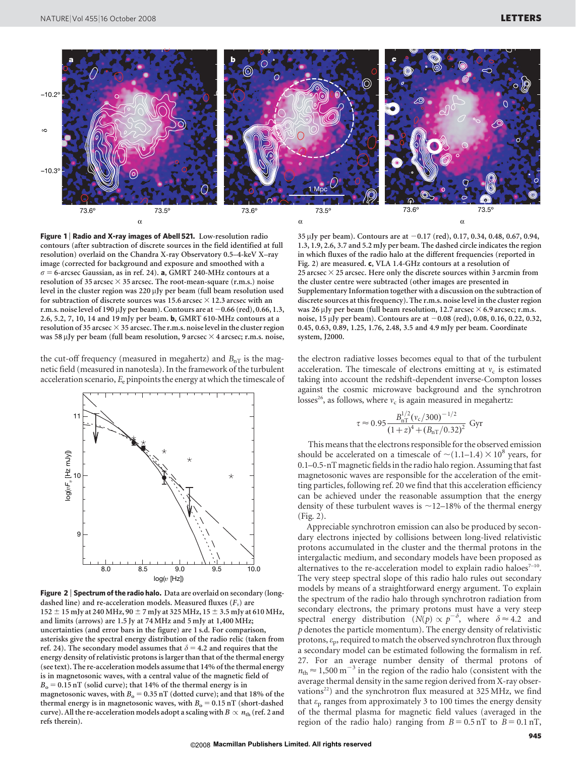

Figure 1 | Radio and X-ray images of Abell 521. Low-resolution radio contours (after subtraction of discrete sources in the field identified at full resolution) overlaid on the Chandra X-ray Observatory 0.5–4-keV X–ray image (corrected for background and exposure and smoothed with a  $\sigma$  = 6-arcsec Gaussian, as in ref. 24). **a**, GMRT 240-MHz contours at a resolution of 35 arcsec  $\times$  35 arcsec. The root-mean-square (r.m.s.) noise level in the cluster region was 220  $\mu$ Jy per beam (full beam resolution used for subtraction of discrete sources was 15.6 arcsec  $\times$  12.3 arcsec with an r.m.s. noise level of 190 µJy per beam). Contours are at  $-0.66$  (red), 0.66, 1.3, 2.6, 5.2, 7, 10, 14 and 19 mJy per beam. b, GMRT 610-MHz contours at a resolution of 35 arcsec  $\times$  35 arcsec. The r.m.s. noise level in the cluster region was 58  $\mu$ Jy per beam (full beam resolution, 9 arcsec  $\times$  4 arcsec; r.m.s. noise,

the cut-off frequency (measured in megahertz) and  $B_{nT}$  is the magnetic field (measured in nanotesla). In the framework of the turbulent acceleration scenario,  $E_e$  pinpoints the energy at which the timescale of



Figure 2 | Spectrum of the radio halo. Data are overlaid on secondary (longdashed line) and re-acceleration models. Measured fluxes  $(F_v)$  are  $152 \pm 15$  mJy at 240 MHz, 90  $\pm$  7 mJy at 325 MHz, 15  $\pm$  3.5 mJy at 610 MHz, and limits (arrows) are 1.5 Jy at 74 MHz and 5 mJy at 1,400 MHz; uncertainties (and error bars in the figure) are 1 s.d. For comparison, asterisks give the spectral energy distribution of the radio relic (taken from ref. 24). The secondary model assumes that  $\delta = 4.2$  and requires that the energy density of relativistic protons is larger than that of the thermal energy (see text). The re-acceleration models assume that 14% of the thermal energy is in magnetosonic waves, with a central value of the magnetic field of  $B_0 = 0.15$  nT (solid curve); that 14% of the thermal energy is in magnetosonic waves, with  $B_0 = 0.35$  nT (dotted curve); and that 18% of the thermal energy is in magnetosonic waves, with  $B_0 = 0.15$  nT (short-dashed curve). All the re-acceleration models adopt a scaling with  $B \propto n_{\rm th}$  (ref. 2 and refs therein).

35 µJy per beam). Contours are at  $-0.17$  (red), 0.17, 0.34, 0.48, 0.67, 0.94, 1.3, 1.9, 2.6, 3.7 and 5.2 mJy per beam. The dashed circle indicates the region in which fluxes of the radio halo at the different frequencies (reported in Fig. 2) are measured. c, VLA 1.4-GHz contours at a resolution of 25 arcsec  $\times$  25 arcsec. Here only the discrete sources within 3 arcmin from the cluster centre were subtracted (other images are presented in Supplementary Information together with a discussion on the subtraction of discrete sources at this frequency). The r.m.s. noise level in the cluster region was 26 µJy per beam (full beam resolution, 12.7 arcsec  $\times$  6.9 arcsec; r.m.s. noise,  $15 \mu$ Jy per beam). Contours are at  $-0.08$  (red), 0.08, 0.16, 0.22, 0.32, 0.45, 0.63, 0.89, 1.25, 1.76, 2.48, 3.5 and 4.9 mJy per beam. Coordinate system, J2000.

the electron radiative losses becomes equal to that of the turbulent acceleration. The timescale of electrons emitting at  $v_c$  is estimated taking into account the redshift-dependent inverse-Compton losses against the cosmic microwave background and the synchrotron losses<sup>26</sup>, as follows, where  $v_c$  is again measured in megahertz:

$$
\tau \approx 0.95 \frac{B_{\rm nT}^{1/2} (v_{\rm c}/300)^{-1/2}}{(1+z)^4 + (B_{\rm nT}/0.32)^2} \text{ Gyr}
$$

This means that the electrons responsible for the observed emission should be accelerated on a timescale of  $\sim$ (1.1–1.4)  $\times$  10<sup>8</sup> years, for 0.1–0.5-nT magnetic fields in the radio halo region. Assuming that fast magnetosonic waves are responsible for the acceleration of the emitting particles, following ref. 20 we find that this acceleration efficiency can be achieved under the reasonable assumption that the energy density of these turbulent waves is  $\sim$  12–18% of the thermal energy (Fig. 2).

Appreciable synchrotron emission can also be produced by secondary electrons injected by collisions between long-lived relativistic protons accumulated in the cluster and the thermal protons in the intergalactic medium, and secondary models have been proposed as alternatives to the re-acceleration model to explain radio haloes $7-10$ . The very steep spectral slope of this radio halo rules out secondary models by means of a straightforward energy argument. To explain the spectrum of the radio halo through synchrotron radiation from secondary electrons, the primary protons must have a very steep spectral energy distribution  $(N(p) \propto p^{-\delta})$ , where  $\delta \approx 4.2$  and  $p$  denotes the particle momentum). The energy density of relativistic protons,  $\varepsilon_p$ , required to match the observed synchrotron flux through a secondary model can be estimated following the formalism in ref. 27. For an average number density of thermal protons of  $n_{\text{th}} \approx 1,500 \text{ m}^{-3}$  in the region of the radio halo (consistent with the average thermal density in the same region derived from X-ray observations<sup>22</sup>) and the synchrotron flux measured at  $325 \text{ MHz}$ , we find that  $\varepsilon_p$  ranges from approximately 3 to 100 times the energy density of the thermal plasma for magnetic field values (averaged in the region of the radio halo) ranging from  $B = 0.5$  nT to  $B = 0.1$  nT,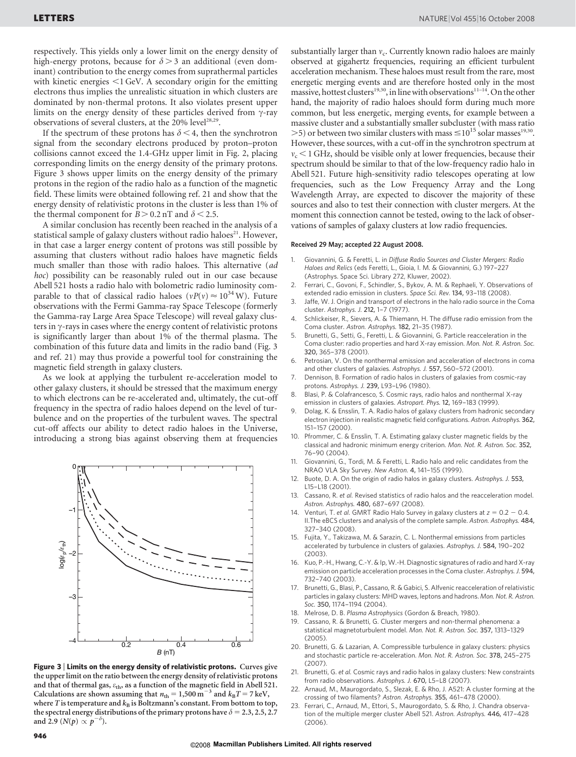respectively. This yields only a lower limit on the energy density of high-energy protons, because for  $\delta$  > 3 an additional (even dominant) contribution to the energy comes from suprathermal particles with kinetic energies  $<$ 1 GeV. A secondary origin for the emitting electrons thus implies the unrealistic situation in which clusters are dominated by non-thermal protons. It also violates present upper limits on the energy density of these particles derived from  $\gamma$ -ray observations of several clusters, at the 20% level<sup>28,29</sup>.

If the spectrum of these protons has  $\delta$  < 4, then the synchrotron signal from the secondary electrons produced by proton–proton collisions cannot exceed the 1.4-GHz upper limit in Fig. 2, placing corresponding limits on the energy density of the primary protons. Figure 3 shows upper limits on the energy density of the primary protons in the region of the radio halo as a function of the magnetic field. These limits were obtained following ref. 21 and show that the energy density of relativistic protons in the cluster is less than 1% of the thermal component for  $B > 0.2$  nT and  $\delta < 2.5$ .

A similar conclusion has recently been reached in the analysis of a statistical sample of galaxy clusters without radio haloes<sup>21</sup>. However, in that case a larger energy content of protons was still possible by assuming that clusters without radio haloes have magnetic fields much smaller than those with radio haloes. This alternative (ad hoc) possibility can be reasonably ruled out in our case because Abell 521 hosts a radio halo with bolometric radio luminosity comparable to that of classical radio haloes ( $vP(v) \approx 10^{34}$  W). Future observations with the Fermi Gamma-ray Space Telescope (formerly the Gamma-ray Large Area Space Telescope) will reveal galaxy clusters in  $\gamma$ -rays in cases where the energy content of relativistic protons is significantly larger than about 1% of the thermal plasma. The combination of this future data and limits in the radio band (Fig. 3 and ref. 21) may thus provide a powerful tool for constraining the magnetic field strength in galaxy clusters.

As we look at applying the turbulent re-acceleration model to other galaxy clusters, it should be stressed that the maximum energy to which electrons can be re-accelerated and, ultimately, the cut-off frequency in the spectra of radio haloes depend on the level of turbulence and on the properties of the turbulent waves. The spectral cut-off affects our ability to detect radio haloes in the Universe, introducing a strong bias against observing them at frequencies



Figure 3 | Limits on the energy density of relativistic protons. Curves give the upper limit on the ratio between the energy density of relativistic protons and that of thermal gas,  $\varepsilon_{\rm th}$ , as a function of the magnetic field in Abell 521. Calculations are shown assuming that  $n_{\text{th}} = 1,500 \text{ m}^{-3}$  and  $k_{\text{B}}T = 7 \text{ keV}$ , where T is temperature and  $k_B$  is Boltzmann's constant. From bottom to top, the spectral energy distributions of the primary protons have  $\delta = 2.3, 2.5, 2.7$ and 2.9 ( $N(p) \propto p^{-\delta}$ ).

substantially larger than  $v_c$ . Currently known radio haloes are mainly observed at gigahertz frequencies, requiring an efficient turbulent acceleration mechanism. These haloes must result from the rare, most energetic merging events and are therefore hosted only in the most massive, hottest clusters<sup>19,30</sup>, in line with observations<sup>11-14</sup>. On the other hand, the majority of radio haloes should form during much more common, but less energetic, merging events, for example between a massive cluster and a substantially smaller subcluster (with mass ratio  $>$ 5) or between two similar clusters with mass  $\leq$ 10<sup>15</sup> solar masses<sup>19,30</sup>. However, these sources, with a cut-off in the synchrotron spectrum at  $v_c < 1$  GHz, should be visible only at lower frequencies, because their spectrum should be similar to that of the low-frequency radio halo in Abell 521. Future high-sensitivity radio telescopes operating at low frequencies, such as the Low Frequency Array and the Long Wavelength Array, are expected to discover the majority of these sources and also to test their connection with cluster mergers. At the moment this connection cannot be tested, owing to the lack of observations of samples of galaxy clusters at low radio frequencies.

## Received 29 May; accepted 22 August 2008.

- 1. Giovannini, G. & Feretti, L. in Diffuse Radio Sources and Cluster Mergers: Radio Haloes and Relics (eds Feretti, L., Gioia, I. M. & Giovannini, G.) 197–227 (Astrophys. Space Sci. Library 272, Kluwer, 2002).
- 2. Ferrari, C., Govoni, F., Schindler, S., Bykov, A. M. & Rephaeli, Y. Observations of extended radio emission in clusters. Space Sci. Rev. 134, 93–118 (2008).
- 3. Jaffe, W. J. Origin and transport of electrons in the halo radio source in the Coma cluster. Astrophys. J. 212, 1–7 (1977).
- 4. Schlickeiser, R., Sievers, A. & Thiemann, H. The diffuse radio emission from the Coma cluster. Astron. Astrophys. 182, 21–35 (1987).
- Brunetti, G., Setti, G., Feretti, L. & Giovannini, G. Particle reacceleration in the Coma cluster: radio properties and hard X-ray emission. Mon. Not. R. Astron. Soc. 320, 365–378 (2001).
- 6. Petrosian, V. On the nonthermal emission and acceleration of electrons in coma and other clusters of galaxies. Astrophys. J. 557, 560–572 (2001).
- Dennison, B. Formation of radio halos in clusters of galaxies from cosmic-ray protons. Astrophys. J. 239, L93–L96 (1980).
- 8. Blasi, P. & Colafrancesco, S. Cosmic rays, radio halos and nonthermal X-ray emission in clusters of galaxies. Astropart. Phys. 12, 169-183 (1999).
- Dolag, K. & Ensslin, T. A. Radio halos of galaxy clusters from hadronic secondary electron injection in realistic magnetic field configurations. Astron. Astrophys. 362, 151–157 (2000).
- 10. Pfrommer, C. & Ensslin, T. A. Estimating galaxy cluster magnetic fields by the classical and hadronic minimum energy criterion. Mon. Not. R. Astron. Soc. 352, 76–90 (2004).
- 11. Giovannini, G., Tordi, M. & Feretti, L. Radio halo and relic candidates from the NRAO VLA Sky Survey. New Astron. 4, 141–155 (1999).
- 12. Buote, D. A. On the origin of radio halos in galaxy clusters. Astrophys. J. 553, L15–L18 (2001).
- 13. Cassano, R. et al. Revised statistics of radio halos and the reacceleration model. Astron. Astrophys. 480, 687-697 (2008).
- 14. Venturi, T. et al. GMRT Radio Halo Survey in galaxy clusters at  $z = 0.2 0.4$ . II.The eBCS clusters and analysis of the complete sample. Astron. Astrophys. 484, 327–340 (2008).
- 15. Fujita, Y., Takizawa, M. & Sarazin, C. L. Nonthermal emissions from particles accelerated by turbulence in clusters of galaxies. Astrophys. J. 584, 190–202 (2003).
- 16. Kuo, P.-H., Hwang, C.-Y. & Ip, W.-H. Diagnostic signatures of radio and hard X-ray emission on particle acceleration processes in the Coma cluster. Astrophys. J. 594, 732–740 (2003).
- 17. Brunetti, G., Blasi, P., Cassano, R. & Gabici, S. Alfvenic reacceleration of relativistic particles in galaxy clusters: MHD waves, leptons and hadrons. Mon. Not. R. Astron. Soc. 350, 1174–1194 (2004).
- 18. Melrose, D. B. Plasma Astrophysics (Gordon & Breach, 1980).
- 19. Cassano, R. & Brunetti, G. Cluster mergers and non-thermal phenomena: a statistical magnetoturbulent model. Mon. Not. R. Astron. Soc. 357, 1313–1329  $(2005)$
- 20. Brunetti, G. & Lazarian, A. Compressible turbulence in galaxy clusters: physics and stochastic particle re-acceleration. Mon. Not. R. Astron. Soc. 378, 245–275 (2007).
- 21. Brunetti, G. et al. Cosmic rays and radio halos in galaxy clusters: New constraints from radio observations. Astrophys. J. 670, L5–L8 (2007).
- 22. Arnaud, M., Maurogordato, S., Slezak, E. & Rho, J. A521: A cluster forming at the crossing of two filaments? Astron. Astrophys. 355, 461–478 (2000).
- 23. Ferrari, C., Arnaud, M., Ettori, S., Maurogordato, S. & Rho, J. Chandra observation of the multiple merger cluster Abell 521. Astron. Astrophys. 446, 417–428 (2006).